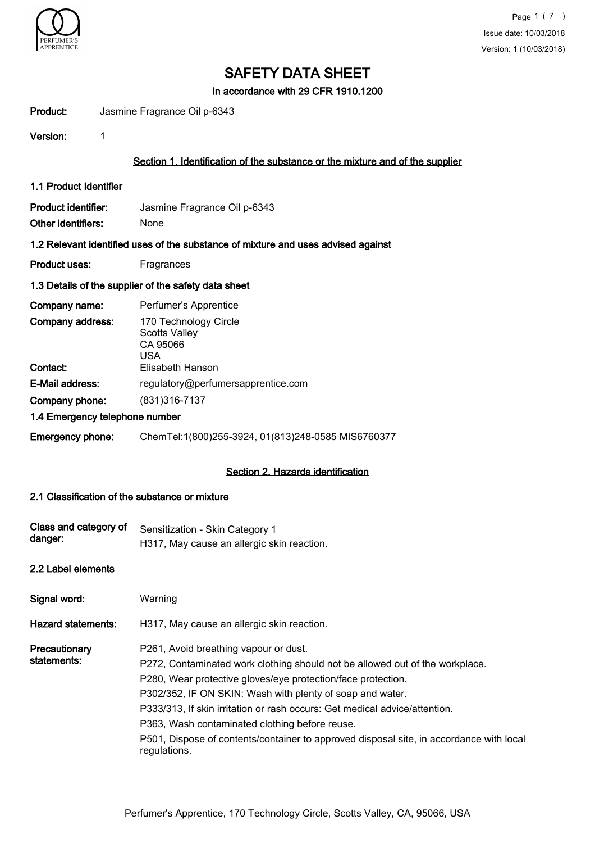

In accordance with 29 CFR 1910.1200

Product: Jasmine Fragrance Oil p-6343

Version: 1

## Section 1. Identification of the substance or the mixture and of the supplier

1.1 Product Identifier

Product identifier: Jasmine Fragrance Oil p-6343 Other identifiers: None

#### 1.2 Relevant identified uses of the substance of mixture and uses advised against

Product uses: Fragrances

#### 1.3 Details of the supplier of the safety data sheet

| Company name:                  | Perfumer's Apprentice                                                   |
|--------------------------------|-------------------------------------------------------------------------|
| Company address:               | 170 Technology Circle<br><b>Scotts Valley</b><br>CA 95066<br><b>USA</b> |
| Contact:                       | Elisabeth Hanson                                                        |
| E-Mail address:                | regulatory@perfumersapprentice.com                                      |
| Company phone:                 | (831) 316-7137                                                          |
| 1.4 Emergency telephone number |                                                                         |
| <b>Emergency phone:</b>        | ChemTel:1(800)255-3924, 01(813)248-0585 MIS6760377                      |

#### Section 2. Hazards identification

## 2.1 Classification of the substance or mixture

| Class and category of<br>danger: | Sensitization - Skin Category 1<br>H317, May cause an allergic skin reaction.                                                                                                                                                                                                                                                                                                                                                                                                                 |
|----------------------------------|-----------------------------------------------------------------------------------------------------------------------------------------------------------------------------------------------------------------------------------------------------------------------------------------------------------------------------------------------------------------------------------------------------------------------------------------------------------------------------------------------|
| 2.2 Label elements               |                                                                                                                                                                                                                                                                                                                                                                                                                                                                                               |
| Signal word:                     | Warning                                                                                                                                                                                                                                                                                                                                                                                                                                                                                       |
| <b>Hazard statements:</b>        | H317, May cause an allergic skin reaction.                                                                                                                                                                                                                                                                                                                                                                                                                                                    |
| Precautionary<br>statements:     | P261, Avoid breathing vapour or dust.<br>P272, Contaminated work clothing should not be allowed out of the workplace.<br>P280, Wear protective gloves/eye protection/face protection.<br>P302/352, IF ON SKIN: Wash with plenty of soap and water.<br>P333/313, If skin irritation or rash occurs: Get medical advice/attention.<br>P363, Wash contaminated clothing before reuse.<br>P501, Dispose of contents/container to approved disposal site, in accordance with local<br>regulations. |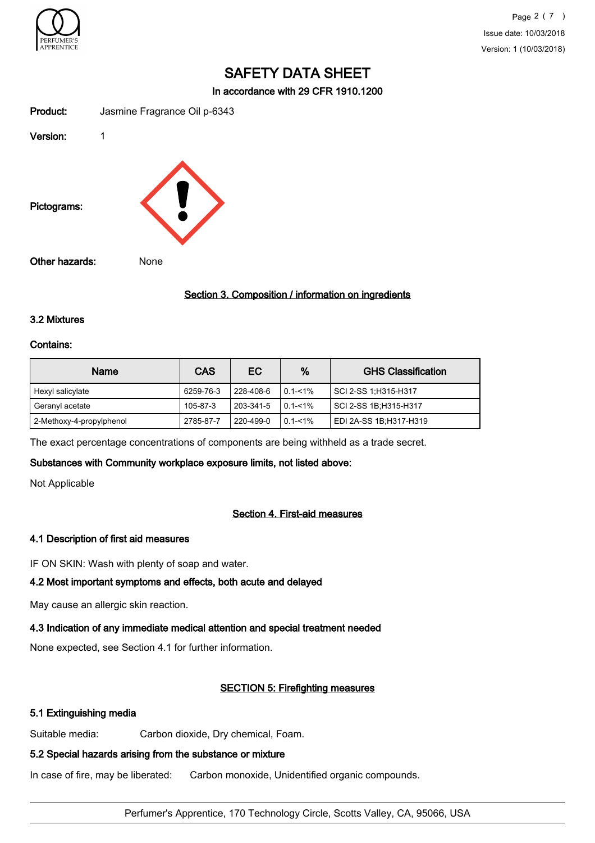

In accordance with 29 CFR 1910.1200

| Product:       | Jasmine Fragrance Oil p-6343 |
|----------------|------------------------------|
| Version:       | 1                            |
| Pictograms:    |                              |
| Other hazards: | None                         |

#### Section 3. Composition / information on ingredients

#### 3.2 Mixtures

#### Contains:

| <b>Name</b>              | <b>CAS</b> | EC.       | %           | <b>GHS Classification</b> |
|--------------------------|------------|-----------|-------------|---------------------------|
| Hexyl salicylate         | 6259-76-3  | 228-408-6 | $0.1 - 1\%$ | SCI 2-SS 1:H315-H317      |
| Geranyl acetate          | 105-87-3   | 203-341-5 | $0.1 - 1\%$ | SCI 2-SS 1B; H315-H317    |
| 2-Methoxy-4-propylphenol | 2785-87-7  | 220-499-0 | $0.1 - 1\%$ | EDI 2A-SS 1B; H317-H319   |

The exact percentage concentrations of components are being withheld as a trade secret.

#### Substances with Community workplace exposure limits, not listed above:

Not Applicable

# Section 4. First-aid measures

#### 4.1 Description of first aid measures

IF ON SKIN: Wash with plenty of soap and water.

#### 4.2 Most important symptoms and effects, both acute and delayed

May cause an allergic skin reaction.

#### 4.3 Indication of any immediate medical attention and special treatment needed

None expected, see Section 4.1 for further information.

#### SECTION 5: Firefighting measures

#### 5.1 Extinguishing media

Suitable media: Carbon dioxide, Dry chemical, Foam.

### 5.2 Special hazards arising from the substance or mixture

In case of fire, may be liberated: Carbon monoxide, Unidentified organic compounds.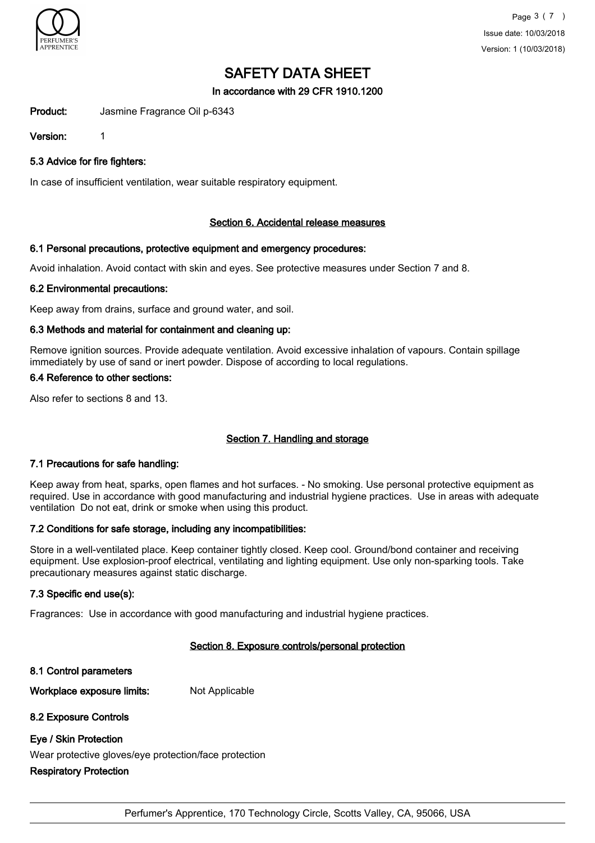

### In accordance with 29 CFR 1910.1200

Product: Jasmine Fragrance Oil p-6343

Version: 1

5.3 Advice for fire fighters:

In case of insufficient ventilation, wear suitable respiratory equipment.

## Section 6. Accidental release measures

## 6.1 Personal precautions, protective equipment and emergency procedures:

Avoid inhalation. Avoid contact with skin and eyes. See protective measures under Section 7 and 8.

#### 6.2 Environmental precautions:

Keep away from drains, surface and ground water, and soil.

## 6.3 Methods and material for containment and cleaning up:

Remove ignition sources. Provide adequate ventilation. Avoid excessive inhalation of vapours. Contain spillage immediately by use of sand or inert powder. Dispose of according to local regulations.

#### 6.4 Reference to other sections:

Also refer to sections 8 and 13.

# Section 7. Handling and storage

#### 7.1 Precautions for safe handling:

Keep away from heat, sparks, open flames and hot surfaces. - No smoking. Use personal protective equipment as required. Use in accordance with good manufacturing and industrial hygiene practices. Use in areas with adequate ventilation Do not eat, drink or smoke when using this product.

#### 7.2 Conditions for safe storage, including any incompatibilities:

Store in a well-ventilated place. Keep container tightly closed. Keep cool. Ground/bond container and receiving equipment. Use explosion-proof electrical, ventilating and lighting equipment. Use only non-sparking tools. Take precautionary measures against static discharge.

# 7.3 Specific end use(s):

Fragrances: Use in accordance with good manufacturing and industrial hygiene practices.

# Section 8. Exposure controls/personal protection

8.1 Control parameters

Workplace exposure limits: Not Applicable

#### 8.2 Exposure Controls

#### Eye / Skin Protection

Wear protective gloves/eye protection/face protection

#### Respiratory Protection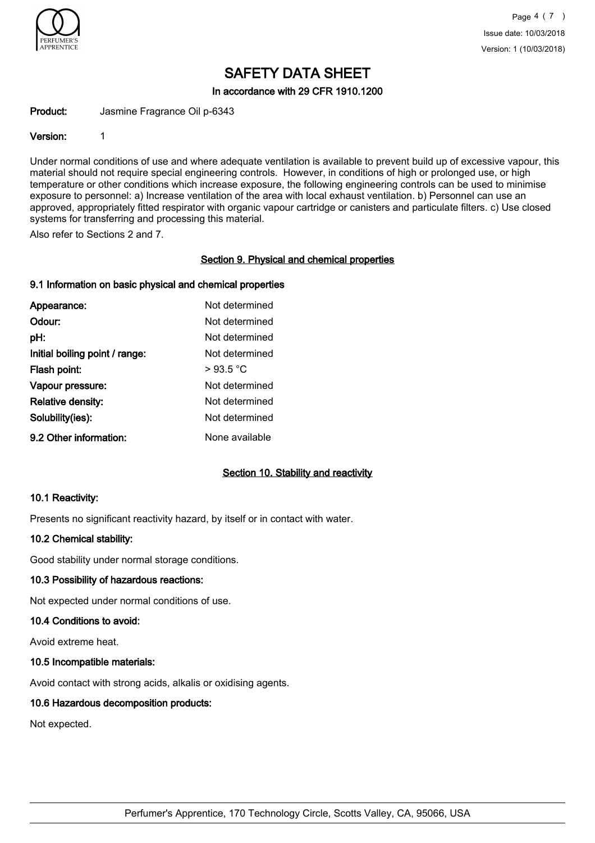

In accordance with 29 CFR 1910.1200

Product: Jasmine Fragrance Oil p-6343

### Version: 1

Under normal conditions of use and where adequate ventilation is available to prevent build up of excessive vapour, this material should not require special engineering controls. However, in conditions of high or prolonged use, or high temperature or other conditions which increase exposure, the following engineering controls can be used to minimise exposure to personnel: a) Increase ventilation of the area with local exhaust ventilation. b) Personnel can use an approved, appropriately fitted respirator with organic vapour cartridge or canisters and particulate filters. c) Use closed systems for transferring and processing this material.

Also refer to Sections 2 and 7.

## Section 9. Physical and chemical properties

# 9.1 Information on basic physical and chemical properties

| Appearance:                    | Not determined |
|--------------------------------|----------------|
| Odour:                         | Not determined |
| pH:                            | Not determined |
| Initial boiling point / range: | Not determined |
| Flash point:                   | >93.5 °C       |
| Vapour pressure:               | Not determined |
| <b>Relative density:</b>       | Not determined |
| Solubility(ies):               | Not determined |
| 9.2 Other information:         | None available |

# Section 10. Stability and reactivity

#### 10.1 Reactivity:

Presents no significant reactivity hazard, by itself or in contact with water.

#### 10.2 Chemical stability:

Good stability under normal storage conditions.

#### 10.3 Possibility of hazardous reactions:

Not expected under normal conditions of use.

#### 10.4 Conditions to avoid:

Avoid extreme heat.

#### 10.5 Incompatible materials:

Avoid contact with strong acids, alkalis or oxidising agents.

#### 10.6 Hazardous decomposition products:

Not expected.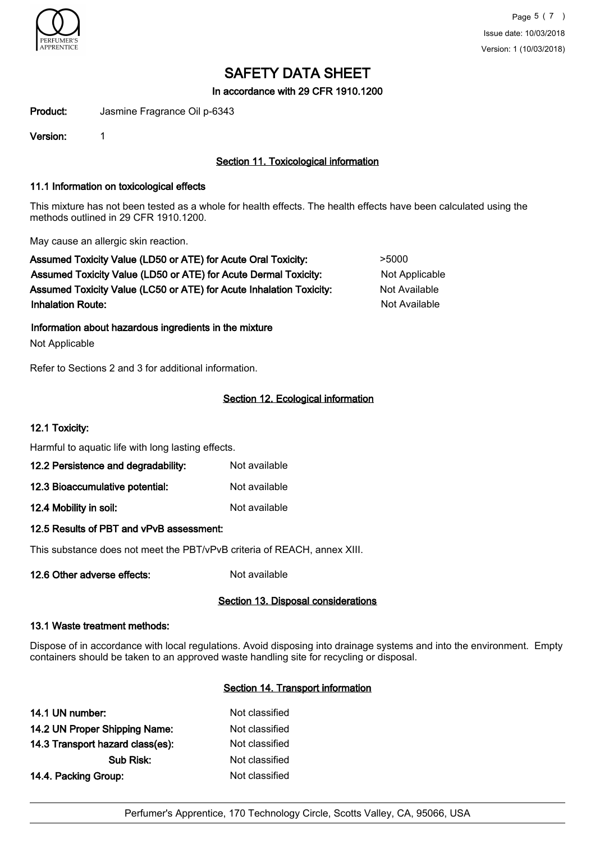

In accordance with 29 CFR 1910.1200

Product: Jasmine Fragrance Oil p-6343

Version: 1

# Section 11. Toxicological information

### 11.1 Information on toxicological effects

This mixture has not been tested as a whole for health effects. The health effects have been calculated using the methods outlined in 29 CFR 1910.1200.

May cause an allergic skin reaction.

Assumed Toxicity Value (LD50 or ATE) for Acute Oral Toxicity:  $>5000$ Assumed Toxicity Value (LD50 or ATE) for Acute Dermal Toxicity: Not Applicable Assumed Toxicity Value (LC50 or ATE) for Acute Inhalation Toxicity: Not Available **Inhalation Route:** Not Available in the United States of Available in the United States of Available in the United States of Available in the United States of Available in the United States of Available in the United Stat

Information about hazardous ingredients in the mixture

Not Applicable

Refer to Sections 2 and 3 for additional information.

# Section 12. Ecological information

### 12.1 Toxicity:

Harmful to aquatic life with long lasting effects.

| 12.2 Persistence and degradability: | Not available |
|-------------------------------------|---------------|
| 12.3 Bioaccumulative potential:     | Not available |

12.4 Mobility in soil: Not available

#### 12.5 Results of PBT and vPvB assessment:

This substance does not meet the PBT/vPvB criteria of REACH, annex XIII.

12.6 Other adverse effects: Not available

# Section 13. Disposal considerations

#### 13.1 Waste treatment methods:

Dispose of in accordance with local regulations. Avoid disposing into drainage systems and into the environment. Empty containers should be taken to an approved waste handling site for recycling or disposal.

## Section 14. Transport information

| 14.1 UN number:                  | Not classified |
|----------------------------------|----------------|
| 14.2 UN Proper Shipping Name:    | Not classified |
| 14.3 Transport hazard class(es): | Not classified |
| Sub Risk:                        | Not classified |
| 14.4. Packing Group:             | Not classified |
|                                  |                |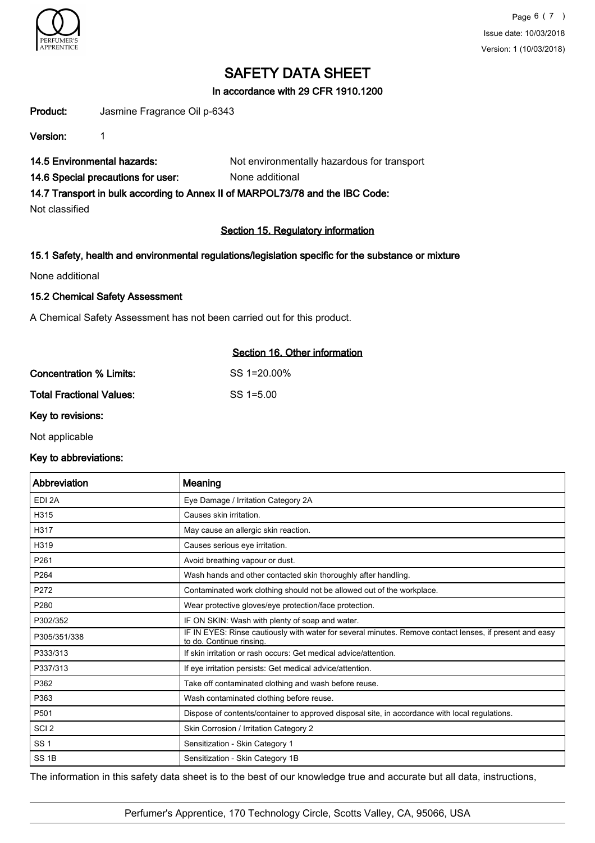

## In accordance with 29 CFR 1910.1200

Product: Jasmine Fragrance Oil p-6343

Version: 1

14.5 Environmental hazards: Not environmentally hazardous for transport

14.6 Special precautions for user: None additional

14.7 Transport in bulk according to Annex II of MARPOL73/78 and the IBC Code:

Not classified

# Section 15. Regulatory information

## 15.1 Safety, health and environmental regulations/legislation specific for the substance or mixture

None additional

## 15.2 Chemical Safety Assessment

A Chemical Safety Assessment has not been carried out for this product.

| Section 16. Other information |
|-------------------------------|
| $SS = 120.00\%$               |
| SS 1=5.00                     |
|                               |

Key to revisions:

Not applicable

#### Key to abbreviations:

| Abbreviation      | Meaning                                                                                                                             |
|-------------------|-------------------------------------------------------------------------------------------------------------------------------------|
| EDI <sub>2A</sub> | Eye Damage / Irritation Category 2A                                                                                                 |
| H315              | Causes skin irritation.                                                                                                             |
| H317              | May cause an allergic skin reaction.                                                                                                |
| H319              | Causes serious eye irritation.                                                                                                      |
| P261              | Avoid breathing vapour or dust.                                                                                                     |
| P264              | Wash hands and other contacted skin thoroughly after handling.                                                                      |
| P272              | Contaminated work clothing should not be allowed out of the workplace.                                                              |
| P280              | Wear protective gloves/eye protection/face protection.                                                                              |
| P302/352          | IF ON SKIN: Wash with plenty of soap and water.                                                                                     |
| P305/351/338      | IF IN EYES: Rinse cautiously with water for several minutes. Remove contact lenses, if present and easy<br>to do. Continue rinsing. |
| P333/313          | If skin irritation or rash occurs: Get medical advice/attention.                                                                    |
| P337/313          | If eye irritation persists: Get medical advice/attention.                                                                           |
| P362              | Take off contaminated clothing and wash before reuse.                                                                               |
| P363              | Wash contaminated clothing before reuse.                                                                                            |
| P501              | Dispose of contents/container to approved disposal site, in accordance with local regulations.                                      |
| SCI <sub>2</sub>  | Skin Corrosion / Irritation Category 2                                                                                              |
| <b>SS1</b>        | Sensitization - Skin Category 1                                                                                                     |
| SS <sub>1B</sub>  | Sensitization - Skin Category 1B                                                                                                    |

The information in this safety data sheet is to the best of our knowledge true and accurate but all data, instructions,